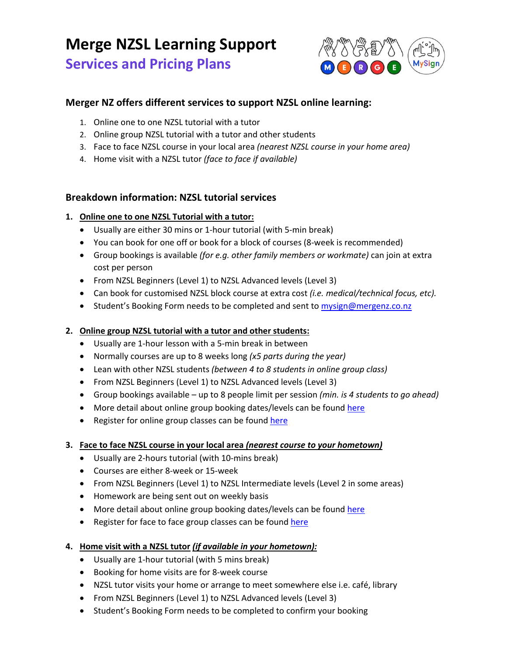# **Merge NZSL Learning Support**

# **Services and Pricing Plans**



# **Merger NZ offers different services to support NZSL online learning:**

- 1. Online one to one NZSL tutorial with a tutor
- 2. Online group NZSL tutorial with a tutor and other students
- 3. Face to face NZSL course in your local area *(nearest NZSL course in your home area)*
- 4. Home visit with a NZSL tutor *(face to face if available)*

# **Breakdown information: NZSL tutorial services**

## **1. Online one to one NZSL Tutorial with a tutor:**

- Usually are either 30 mins or 1‐hour tutorial (with 5‐min break)
- You can book for one off or book for a block of courses (8‐week is recommended)
- Group bookings is available *(for e.g. other family members or workmate)* can join at extra cost per person
- From NZSL Beginners (Level 1) to NZSL Advanced levels (Level 3)
- Can book for customised NZSL block course at extra cost *(i.e. medical/technical focus, etc).*
- Student's Booking Form needs to be completed and sent to mysign@mergenz.co.nz

# **2. Online group NZSL tutorial with a tutor and other students:**

- Usually are 1-hour lesson with a 5-min break in between
- Normally courses are up to 8 weeks long *(x5 parts during the year)*
- Lean with other NZSL students *(between 4 to 8 students in online group class)*
- From NZSL Beginners (Level 1) to NZSL Advanced levels (Level 3)
- Group bookings available up to 8 people limit per session *(min. is 4 students to go ahead)*
- More detail about online group booking dates/levels can be found here
- Register for online group classes can be found here

#### **3. Face to face NZSL course in your local area** *(nearest course to your hometown)*

- Usually are 2‐hours tutorial (with 10‐mins break)
- Courses are either 8‐week or 15‐week
- From NZSL Beginners (Level 1) to NZSL Intermediate levels (Level 2 in some areas)
- Homework are being sent out on weekly basis
- More detail about online group booking dates/levels can be found here
- Register for face to face group classes can be found here

# **4. Home visit with a NZSL tutor** *(if available in your hometown):*

- Usually are 1-hour tutorial (with 5 mins break)
- Booking for home visits are for 8-week course
- NZSL tutor visits your home or arrange to meet somewhere else i.e. café, library
- From NZSL Beginners (Level 1) to NZSL Advanced levels (Level 3)
- Student's Booking Form needs to be completed to confirm your booking